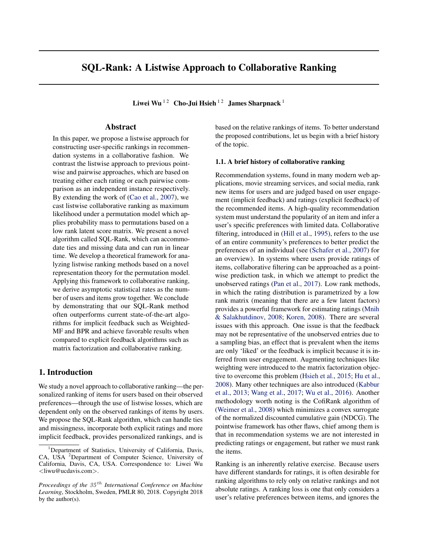# <span id="page-0-0"></span>SQL-Rank: A Listwise Approach to Collaborative Ranking

Liwei Wu<sup>12</sup> Cho-Jui Hsieh<sup>12</sup> James Sharpnack<sup>1</sup>

# Abstract

In this paper, we propose a listwise approach for constructing user-specific rankings in recommendation systems in a collaborative fashion. We contrast the listwise approach to previous pointwise and pairwise approaches, which are based on treating either each rating or each pairwise comparison as an independent instance respectively. By extending the work of [\(Cao et al.,](#page-8-0) [2007\)](#page-8-0), we cast listwise collaborative ranking as maximum likelihood under a permutation model which applies probability mass to permutations based on a low rank latent score matrix. We present a novel algorithm called SQL-Rank, which can accommodate ties and missing data and can run in linear time. We develop a theoretical framework for analyzing listwise ranking methods based on a novel representation theory for the permutation model. Applying this framework to collaborative ranking, we derive asymptotic statistical rates as the number of users and items grow together. We conclude by demonstrating that our SQL-Rank method often outperforms current state-of-the-art algorithms for implicit feedback such as Weighted-MF and BPR and achieve favorable results when compared to explicit feedback algorithms such as matrix factorization and collaborative ranking.

# 1. Introduction

We study a novel approach to collaborative ranking—the personalized ranking of items for users based on their observed preferences—through the use of listwise losses, which are dependent only on the observed rankings of items by users. We propose the SQL-Rank algorithm, which can handle ties and missingness, incorporate both explicit ratings and more implicit feedback, provides personalized rankings, and is

based on the relative rankings of items. To better understand the proposed contributions, let us begin with a brief history of the topic.

## 1.1. A brief history of collaborative ranking

Recommendation systems, found in many modern web applications, movie streaming services, and social media, rank new items for users and are judged based on user engagement (implicit feedback) and ratings (explicit feedback) of the recommended items. A high-quality recommendation system must understand the popularity of an item and infer a user's specific preferences with limited data. Collaborative filtering, introduced in [\(Hill et al.,](#page-8-0) [1995\)](#page-8-0), refers to the use of an entire community's preferences to better predict the preferences of an individual (see [\(Schafer et al.,](#page-8-0) [2007\)](#page-8-0) for an overview). In systems where users provide ratings of items, collaborative filtering can be approached as a pointwise prediction task, in which we attempt to predict the unobserved ratings [\(Pan et al.,](#page-8-0) [2017\)](#page-8-0). Low rank methods, in which the rating distribution is parametrized by a low rank matrix (meaning that there are a few latent factors) provides a powerful framework for estimating ratings [\(Mnih](#page-8-0) [& Salakhutdinov,](#page-8-0) [2008;](#page-8-0) [Koren,](#page-8-0) [2008\)](#page-8-0). There are several issues with this approach. One issue is that the feedback may not be representative of the unobserved entries due to a sampling bias, an effect that is prevalent when the items are only 'liked' or the feedback is implicit because it is inferred from user engagement. Augmenting techniques like weighting were introduced to the matrix factorization objective to overcome this problem [\(Hsieh et al.,](#page-8-0) [2015;](#page-8-0) [Hu et al.,](#page-8-0) [2008\)](#page-8-0). Many other techniques are also introduced [\(Kabbur](#page-8-0) [et al.,](#page-8-0) [2013;](#page-8-0) [Wang et al.,](#page-9-0) [2017;](#page-9-0) [Wu et al.,](#page-9-0) [2016\)](#page-9-0). Another methodology worth noting is the CofiRank algorithm of [\(Weimer et al.,](#page-9-0) [2008\)](#page-9-0) which minimizes a convex surrogate of the normalized discounted cumulative gain (NDCG). The pointwise framework has other flaws, chief among them is that in recommendation systems we are not interested in predicting ratings or engagement, but rather we must rank the items.

Ranking is an inherently relative exercise. Because users have different standards for ratings, it is often desirable for ranking algorithms to rely only on relative rankings and not absolute ratings. A ranking loss is one that only considers a user's relative preferences between items, and ignores the

<sup>&</sup>lt;sup>1</sup>Department of Statistics, University of California, Davis, CA, USA <sup>2</sup>Department of Computer Science, University of California, Davis, CA, USA. Correspondence to: Liwei Wu *<*liwu@ucdavis.com*>*.

*Proceedings of the 35 th International Conference on Machine Learning*, Stockholm, Sweden, PMLR 80, 2018. Copyright 2018 by the author(s).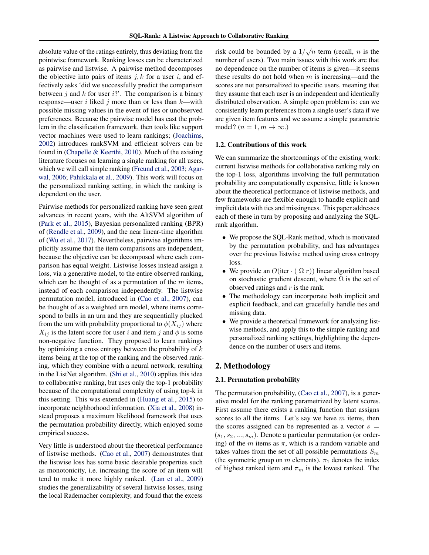absolute value of the ratings entirely, thus deviating from the pointwise framework. Ranking losses can be characterized as pairwise and listwise. A pairwise method decomposes the objective into pairs of items  $j, k$  for a user  $i$ , and effectively asks 'did we successfully predict the comparison between *j* and *k* for user *i*?'. The comparison is a binary response—user *i* liked *j* more than or less than *k*—with possible missing values in the event of ties or unobserved preferences. Because the pairwise model has cast the problem in the classification framework, then tools like support vector machines were used to learn rankings; [\(Joachims,](#page-8-0) [2002\)](#page-8-0) introduces rankSVM and efficient solvers can be found in [\(Chapelle & Keerthi,](#page-8-0) [2010\)](#page-8-0). Much of the existing literature focuses on learning a single ranking for all users, which we will call simple ranking [\(Freund et al.,](#page-8-0) [2003;](#page-8-0) [Agar](#page-8-0)[wal,](#page-8-0) [2006;](#page-8-0) [Pahikkala et al.,](#page-8-0) [2009\)](#page-8-0). This work will focus on the personalized ranking setting, in which the ranking is dependent on the user.

Pairwise methods for personalized ranking have seen great advances in recent years, with the AltSVM algorithm of [\(Park et al.,](#page-8-0) [2015\)](#page-8-0), Bayesian personalized ranking (BPR) of [\(Rendle et al.,](#page-8-0) [2009\)](#page-8-0), and the near linear-time algorithm of [\(Wu et al.,](#page-9-0) [2017\)](#page-9-0). Nevertheless, pairwise algorithms implicitly assume that the item comparisons are independent, because the objective can be decomposed where each comparison has equal weight. Listwise losses instead assign a loss, via a generative model, to the entire observed ranking, which can be thought of as a permutation of the *m* items, instead of each comparison independently. The listwise permutation model, introduced in [\(Cao et al.,](#page-8-0) [2007\)](#page-8-0), can be thought of as a weighted urn model, where items correspond to balls in an urn and they are sequentially plucked from the urn with probability proportional to  $\phi(X_{ij})$  where  $X_{ij}$  is the latent score for user *i* and item *j* and  $\phi$  is some non-negative function. They proposed to learn rankings by optimizing a cross entropy between the probability of *k* items being at the top of the ranking and the observed ranking, which they combine with a neural network, resulting in the ListNet algorithm. [\(Shi et al.,](#page-8-0) [2010\)](#page-8-0) applies this idea to collaborative ranking, but uses only the top-1 probability because of the computational complexity of using top-k in this setting. This was extended in [\(Huang et al.,](#page-8-0) [2015\)](#page-8-0) to incorporate neighborhood information. [\(Xia et al.,](#page-9-0) [2008\)](#page-9-0) instead proposes a maximum likelihood framework that uses the permutation probability directly, which enjoyed some empirical success.

Very little is understood about the theoretical performance of listwise methods. [\(Cao et al.,](#page-8-0) [2007\)](#page-8-0) demonstrates that the listwise loss has some basic desirable properties such as monotonicity, i.e. increasing the score of an item will tend to make it more highly ranked. [\(Lan et al.,](#page-8-0) [2009\)](#page-8-0) studies the generalizability of several listwise losses, using the local Rademacher complexity, and found that the excess

risk could be bounded by a  $1/\sqrt{n}$  term (recall, *n* is the number of users). Two main issues with this work are that no dependence on the number of items is given—it seems these results do not hold when *m* is increasing—and the scores are not personalized to specific users, meaning that they assume that each user is an independent and identically distributed observation. A simple open problem is: can we consistently learn preferences from a single user's data if we are given item features and we assume a simple parametric model?  $(n = 1, m \rightarrow \infty)$ .

### 1.2. Contributions of this work

We can summarize the shortcomings of the existing work: current listwise methods for collaborative ranking rely on the top-1 loss, algorithms involving the full permutation probability are computationally expensive, little is known about the theoretical performance of listwise methods, and few frameworks are flexible enough to handle explicit and implicit data with ties and missingness. This paper addresses each of these in turn by proposing and analyzing the SQLrank algorithm.

- *•* We propose the SQL-Rank method, which is motivated by the permutation probability, and has advantages over the previous listwise method using cross entropy loss.
- We provide an  $O(\text{iter} \cdot (|\Omega| r))$  linear algorithm based on stochastic gradient descent, where  $\Omega$  is the set of observed ratings and *r* is the rank.
- *•* The methodology can incorporate both implicit and explicit feedback, and can gracefully handle ties and missing data.
- *•* We provide a theoretical framework for analyzing listwise methods, and apply this to the simple ranking and personalized ranking settings, highlighting the dependence on the number of users and items.

# 2. Methodology

#### 2.1. Permutation probability

The permutation probability, [\(Cao et al.,](#page-8-0) [2007\)](#page-8-0), is a generative model for the ranking parametrized by latent scores. First assume there exists a ranking function that assigns scores to all the items. Let's say we have *m* items, then the scores assigned can be represented as a vector  $s =$  $(s_1, s_2, \ldots, s_m)$ . Denote a particular permutation (or ordering) of the  $m$  items as  $\pi$ , which is a random variable and takes values from the set of all possible permutations *S<sup>m</sup>* (the symmetric group on *m* elements).  $\pi_1$  denotes the index of highest ranked item and  $\pi_m$  is the lowest ranked. The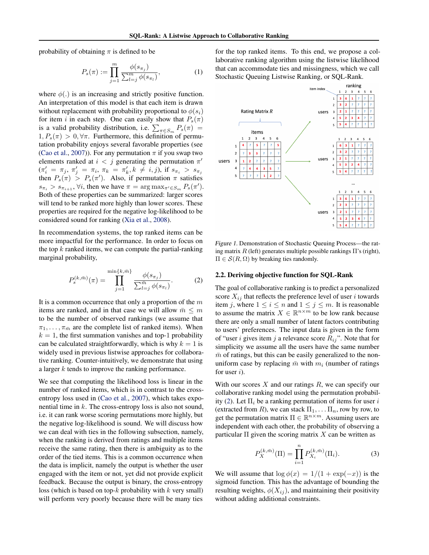<span id="page-2-0"></span>probability of obtaining  $\pi$  is defined to be

$$
P_s(\pi) := \prod_{j=1}^m \frac{\phi(s_{\pi_j})}{\sum_{l=j}^m \phi(s_{\pi_l})},
$$
 (1)

where  $\phi(.)$  is an increasing and strictly positive function. An interpretation of this model is that each item is drawn without replacement with probability proportional to  $\phi(s_i)$ for item *i* in each step. One can easily show that  $P_s(\pi)$ is a valid probability distribution, i.e.  $\sum_{\pi \in S_m} P_s(\pi) =$  $1, P_s(\pi) > 0, \forall \pi$ . Furthermore, this definition of permutation probability enjoys several favorable properties (see [\(Cao et al.,](#page-8-0) [2007\)](#page-8-0)). For any permutation  $\pi$  if you swap two elements ranked at  $i < j$  generating the permutation  $\pi'$  $(\pi'_i = \pi_j, \pi'_j = \pi_i, \pi_k = \pi'_k, k \neq i, j)$ , if  $s_{\pi_i} > s_{\pi_j}$ then  $P_s(\pi) > P_s(\pi')$ . Also, if permutation  $\pi$  satisfies  $s_{\pi_i} > s_{\pi_{i+1}}$ ,  $\forall i$ , then we have  $\pi = \arg \max_{\pi' \in S_m} P_s(\pi').$ Both of these properties can be summarized: larger scores will tend to be ranked more highly than lower scores. These properties are required for the negative log-likelihood to be considered sound for ranking [\(Xia et al.,](#page-9-0) [2008\)](#page-9-0).

In recommendation systems, the top ranked items can be more impactful for the performance. In order to focus on the top *k* ranked items, we can compute the partial-ranking marginal probability,

$$
P_s^{(k,\bar{m})}(\pi) = \prod_{j=1}^{\min\{k,\bar{m}\}} \frac{\phi(s_{\pi_j})}{\sum_{l=j}^{\bar{m}} \phi(s_{\pi_l})}.
$$
 (2)

It is a common occurrence that only a proportion of the *m* items are ranked, and in that case we will allow  $\bar{m} \leq m$ to be the number of observed rankings (we assume that  $\pi_1, \ldots, \pi_{\bar{m}}$  are the complete list of ranked items). When  $k = 1$ , the first summation vanishes and top-1 probability can be calculated straightforwardly, which is why  $k = 1$  is widely used in previous listwise approaches for collaborative ranking. Counter-intuitively, we demonstrate that using a larger *k* tends to improve the ranking performance.

We see that computing the likelihood loss is linear in the number of ranked items, which is in contrast to the crossentropy loss used in [\(Cao et al.,](#page-8-0) [2007\)](#page-8-0), which takes exponential time in *k*. The cross-entropy loss is also not sound, i.e. it can rank worse scoring permutations more highly, but the negative log-likelihood is sound. We will discuss how we can deal with ties in the following subsection, namely, when the ranking is derived from ratings and multiple items receive the same rating, then there is ambiguity as to the order of the tied items. This is a common occurrence when the data is implicit, namely the output is whether the user engaged with the item or not, yet did not provide explicit feedback. Because the output is binary, the cross-entropy loss (which is based on top-*k* probability with *k* very small) will perform very poorly because there will be many ties

for the top ranked items. To this end, we propose a collaborative ranking algorithm using the listwise likelihood that can accommodate ties and missingness, which we call Stochastic Queuing Listwise Ranking, or SQL-Rank.



*Figure 1.* Demonstration of Stochastic Queuing Process—the rating matrix *R* (left) generates multiple possible rankings  $\Pi$ 's (right),  $\Pi \in \mathcal{S}(R,\Omega)$  by breaking ties randomly.

#### 2.2. Deriving objective function for SQL-Rank

The goal of collaborative ranking is to predict a personalized score  $X_{ij}$  that reflects the preference level of user *i* towards item *j*, where  $1 \le i \le n$  and  $1 \le j \le m$ . It is reasonable to assume the matrix  $X \in \mathbb{R}^{n \times m}$  to be low rank because there are only a small number of latent factors contributing to users' preferences. The input data is given in the form of "user *i* gives item *j* a relevance score  $R_{ij}$ ". Note that for simplicity we assume all the users have the same number  $\bar{m}$  of ratings, but this can be easily generalized to the nonuniform case by replacing  $\bar{m}$  with  $m_i$  (number of ratings for user *i*).

With our scores *X* and our ratings *R*, we can specify our collaborative ranking model using the permutation probability (2). Let  $\Pi_i$  be a ranking permutation of items for user *i* (extracted from *R*), we can stack  $\Pi_1, \ldots \Pi_n$ , row by row, to get the permutation matrix  $\Pi \in \mathbb{R}^{n \times m}$ . Assuming users are independent with each other, the probability of observing a particular  $\Pi$  given the scoring matrix  $X$  can be written as

$$
P_X^{(k,\bar{m})}(\Pi) = \prod_{i=1}^n P_{X_i}^{(k,\bar{m})}(\Pi_i). \tag{3}
$$

We will assume that  $\log \phi(x) = 1/(1 + \exp(-x))$  is the sigmoid function. This has the advantage of bounding the resulting weights,  $\phi(X_{ij})$ , and maintaining their positivity without adding additional constraints.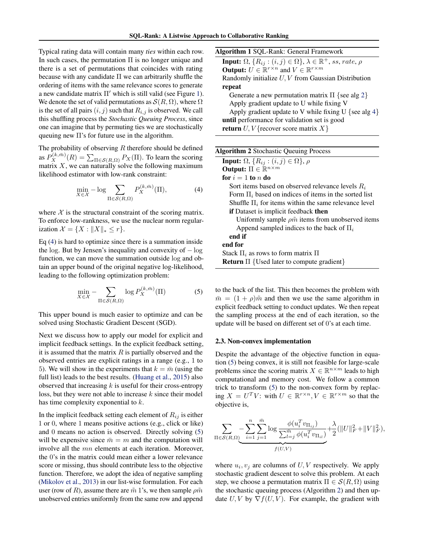<span id="page-3-0"></span>Typical rating data will contain many *ties* within each row. In such cases, the permutation  $\Pi$  is no longer unique and there is a set of permutations that coincides with rating because with any candidate  $\Pi$  we can arbitrarily shuffle the ordering of items with the same relevance scores to generate a new candidate matrix  $\Pi'$  which is still valid (see Figure [1\)](#page-2-0). We denote the set of valid permutations as  $\mathcal{S}(R,\Omega)$ , where  $\Omega$ is the set of all pairs  $(i, j)$  such that  $R_{i,j}$  is observed. We call this shuffling process the *Stochastic Queuing Process*, since one can imagine that by permuting ties we are stochastically queuing new  $\Pi$ 's for future use in the algorithm.

The probability of observing *R* therefore should be defined as  $P_X^{(k,\bar{m})}(R) = \sum_{\Pi \in \mathcal{S}(R,\Omega)} P_X(\Pi)$ . To learn the scoring matrix *X*, we can naturally solve the following maximum likelihood estimator with low-rank constraint:

$$
\min_{X \in \mathcal{X}} -\log \sum_{\Pi \in \mathcal{S}(R,\Omega)} P_X^{(k,\bar{m})}(\Pi),\tag{4}
$$

where  $X$  is the structural constraint of the scoring matrix. To enforce low-rankness, we use the nuclear norm regularization  $\mathcal{X} = \{X : ||X||_* \leq r\}.$ 

Eq (4) is hard to optimize since there is a summation inside the log. But by Jensen's inequality and convexity of  $-\log$ function, we can move the summation outside log and obtain an upper bound of the original negative log-likelihood, leading to the following optimization problem:

$$
\min_{X \in \mathcal{X}} - \sum_{\Pi \in \mathcal{S}(R,\Omega)} \log P_X^{(k,\bar{m})}(\Pi) \tag{5}
$$

This upper bound is much easier to optimize and can be solved using Stochastic Gradient Descent (SGD).

Next we discuss how to apply our model for explicit and implicit feedback settings. In the explicit feedback setting, it is assumed that the matrix *R* is partially observed and the observed entries are explicit ratings in a range (e.g., 1 to 5). We will show in the experiments that  $k = \bar{m}$  (using the full list) leads to the best results. [\(Huang et al.,](#page-8-0) [2015\)](#page-8-0) also observed that increasing *k* is useful for their cross-entropy loss, but they were not able to increase *k* since their model has time complexity exponential to *k*.

In the implicit feedback setting each element of  $R_{ij}$  is either 1 or 0, where 1 means positive actions (e.g., click or like) and 0 means no action is observed. Directly solving (5) will be expensive since  $\bar{m} = m$  and the computation will involve all the *mn* elements at each iteration. Moreover, the 0's in the matrix could mean either a lower relevance score or missing, thus should contribute less to the objective function. Therefore, we adopt the idea of negative sampling [\(Mikolov et al.,](#page-8-0) [2013\)](#page-8-0) in our list-wise formulation. For each user (row of *R*), assume there are  $\tilde{m}$  1's, we then sample  $\rho \tilde{m}$ unobserved entries uniformly from the same row and append

| <b>Algorithm 1 SQL-Rank: General Framework</b>                                                           |
|----------------------------------------------------------------------------------------------------------|
| <b>Input:</b> $\Omega$ , $\{R_{ij} : (i,j) \in \Omega\}$ , $\lambda \in \mathbb{R}^+$ , ss, rate, $\rho$ |
| <b>Output:</b> $U \in \mathbb{R}^{r \times n}$ and $V \in \mathbb{R}^{r \times m}$                       |
| Randomly initialize $U, V$ from Gaussian Distribution                                                    |
| repeat                                                                                                   |
| Generate a new permutation matrix $\Pi$ {see alg 2}                                                      |
| Apply gradient update to U while fixing V                                                                |
| Apply gradient update to V while fixing U {see alg 4}                                                    |
| until performance for validation set is good                                                             |
| <b>return</b> $U, V$ {recover score matrix $X$ }                                                         |
|                                                                                                          |

| <b>Algorithm 2</b> Stochastic Queuing Process                     |
|-------------------------------------------------------------------|
| <b>Input:</b> $\Omega$ , $\{R_{ij} : (i,j) \in \Omega\}$ , $\rho$ |
| <b>Output:</b> $\Pi \in \mathbb{R}^{n \times m}$                  |
| for $i=1$ to n do                                                 |
| Sort items based on observed relevance levels $R_i$               |
| Form $\Pi_i$ based on indices of items in the sorted list         |
| Shuffle $\Pi_i$ for items within the same relevance level         |
| <b>if</b> Dataset is implicit feedback <b>then</b>                |
| Uniformly sample $\rho \tilde{m}$ items from unobserved items     |
| Append sampled indices to the back of $\Pi_i$                     |
| end if                                                            |
| end for                                                           |
| Stack $\Pi_i$ as rows to form matrix $\Pi$                        |
| <b>Return</b> $\Pi$ {Used later to compute gradient}              |

to the back of the list. This then becomes the problem with  $\bar{m} = (1 + \rho)\tilde{m}$  and then we use the same algorithm in explicit feedback setting to conduct updates. We then repeat the sampling process at the end of each iteration, so the update will be based on different set of 0's at each time.

#### 2.3. Non-convex implementation

Despite the advantage of the objective function in equation (5) being convex, it is still not feasible for large-scale problems since the scoring matrix  $X \in \mathbb{R}^{n \times m}$  leads to high computational and memory cost. We follow a common trick to transform (5) to the non-convex form by replacing  $X = U^T V$ : with  $U \in \mathbb{R}^{r \times n}, V \in \mathbb{R}^{r \times m}$  so that the objective is,

$$
\sum_{\Pi \in \mathcal{S}(R,\Omega)} -\sum_{i=1}^{n} \sum_{j=1}^{\bar{m}} \log \frac{\phi(u_i^T v_{\Pi_{ij}})}{\sum_{l=j}^{\bar{m}} \phi(u_i^T v_{\Pi_{il}})} + \frac{\lambda}{2} (\|U\|_F^2 + \|V\|_F^2),
$$
  

$$
f(U,V)
$$

where  $u_i, v_j$  are columns of  $U, V$  respectively. We apply stochastic gradient descent to solve this problem. At each step, we choose a permutation matrix  $\Pi \in \mathcal{S}(R,\Omega)$  using the stochastic queuing process (Algorithm 2) and then update  $U, V$  by  $\nabla f(U, V)$ . For example, the gradient with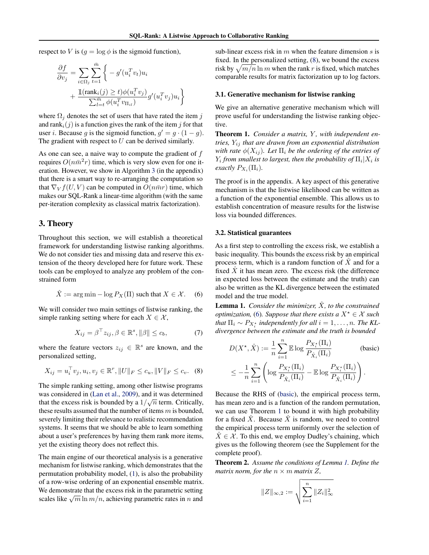<span id="page-4-0"></span>respect to *V* is  $(g = \log \phi)$  is the sigmoid function),

$$
\frac{\partial f}{\partial v_j} = \sum_{i \in \Omega_j} \sum_{t=1}^{\bar{m}} \left\{ -g'(u_i^T v_t) u_i \right. \\
\left. + \frac{\mathbb{1}(\text{rank}_i(j) \ge t) \phi(u_i^T v_j)}{\sum_{l=t}^{\bar{m}} \phi(u_i^T v_{\Pi_{il}})} g'(u_i^T v_j) u_i \right\}
$$

where  $\Omega_j$  denotes the set of users that have rated the item *j* and rank<sub>i</sub> $(j)$  is a function gives the rank of the item *j* for that user *i*. Because *q* is the sigmoid function,  $q' = q \cdot (1 - q)$ . The gradient with respect to *U* can be derived similarly.

As one can see, a naive way to compute the gradient of *f* requires  $O(n\bar{m}^2r)$  time, which is very slow even for one iteration. However, we show in Algorithm [3](#page-0-0) (in the appendix) that there is a smart way to re-arranging the computation so that  $\nabla_V f(U, V)$  can be computed in  $O(n\bar{m}r)$  time, which makes our SQL-Rank a linear-time algorithm (with the same per-iteration complexity as classical matrix factorization).

# 3. Theory

Throughout this section, we will establish a theoretical framework for understanding listwise ranking algorithms. We do not consider ties and missing data and reserve this extension of the theory developed here for future work. These tools can be employed to analyze any problem of the constrained form

$$
\hat{X} := \arg\min - \log P_X(\Pi) \text{ such that } X \in \mathcal{X}. \quad (6)
$$

We will consider two main settings of listwise ranking, the simple ranking setting where for each  $X \in \mathcal{X}$ ,

$$
X_{ij} = \beta^{\top} z_{ij}, \beta \in \mathbb{R}^s, \|\beta\| \le c_b,
$$
 (7)

where the feature vectors  $z_{ij} \in \mathbb{R}^s$  are known, and the personalized setting,

$$
X_{ij} = u_i^{\top} v_j, u_i, v_j \in \mathbb{R}^r, ||U||_F \le c_u, ||V||_F \le c_v.
$$
 (8)

The simple ranking setting, among other listwise programs was considered in [\(Lan et al.,](#page-8-0) [2009\)](#page-8-0), and it was determined that the excess risk is bounded by a  $1/\sqrt{n}$  term. Critically, these results assumed that the number of items *m* is bounded, severely limiting their relevance to realistic recommendation systems. It seems that we should be able to learn something about a user's preferences by having them rank more items, yet the existing theory does not reflect this.

The main engine of our theoretical analysis is a generative mechanism for listwise ranking, which demonstrates that the permutation probability model, [\(1\)](#page-2-0), is also the probability of a row-wise ordering of an exponential ensemble matrix. We demonstrate that the excess risk in the parametric setting scales like  $\sqrt{m} \ln m/n$ , achieving parametric rates in *n* and

sub-linear excess risk in *m* when the feature dimension *s* is fixed. In the personalized setting, (8), we bound the excess risk by  $\sqrt{m/n}$  ln *m* when the rank *r* is fixed, which matches comparable results for matrix factorization up to log factors.

## 3.1. Generative mechanism for listwise ranking

We give an alternative generative mechanism which will prove useful for understanding the listwise ranking objective.

Theorem 1. *Consider a matrix, Y , with independent entries, Yij that are drawn from an exponential distribution with rate*  $\phi(X_{ii})$ *. Let*  $\Pi_i$  *be the ordering of the entries of Y*<sub>i</sub> from smallest to largest, then the probability of  $\Pi_i$   $X_i$  is *exactly*  $P_{X_i}(\Pi_i)$ .

The proof is in the appendix. A key aspect of this generative mechanism is that the listwise likelihood can be written as a function of the exponential ensemble. This allows us to establish concentration of measure results for the listwise loss via bounded differences.

## 3.2. Statistical guarantees

As a first step to controlling the excess risk, we establish a basic inequality. This bounds the excess risk by an empirical process term, which is a random function of  $\overline{X}$  and for a fixed  $\overline{X}$  it has mean zero. The excess risk (the difference in expected loss between the estimate and the truth) can also be written as the KL divergence between the estimated model and the true model.

**Lemma 1.** *Consider the minimizer,*  $\hat{X}$ *, to the constrained optimization,* (6)*. Suppose that there exists a*  $X^* \in \mathcal{X}$  *such that*  $\Pi_i \sim P_{X_i^*}$  *independently for all*  $i = 1, \ldots, n$ *. The KLdivergence between the estimate and the truth is bounded*

$$
D(X^*, \hat{X}) := \frac{1}{n} \sum_{i=1}^n \mathbb{E} \log \frac{P_{X_i^*}(\Pi_i)}{P_{\hat{X}_i}(\Pi_i)}
$$
 (basic)  

$$
\leq -\frac{1}{n} \sum_{i=1}^n \left( \log \frac{P_{X_i^*}(\Pi_i)}{P_{\hat{X}_i}(\Pi_i)} - \mathbb{E} \log \frac{P_{X_i^*}(\Pi_i)}{P_{\hat{X}_i}(\Pi_i)} \right).
$$

Because the RHS of (basic), the empirical process term, has mean zero and is a function of the random permutation, we can use Theorem 1 to bound it with high probability for a fixed  $\hat{X}$ . Because  $\hat{X}$  is random, we need to control the empirical process term uniformly over the selection of  $X \in \mathcal{X}$ . To this end, we employ Dudley's chaining, which gives us the following theorem (see the Supplement for the complete proof).

Theorem 2. *Assume the conditions of Lemma 1. Define the matrix norm, for the*  $n \times m$  *matrix*  $Z$ *,* 

$$
\|Z\|_{\infty,2}:=\sqrt{\sum_{i=1}^n \|Z_i\|_{\infty}^2}
$$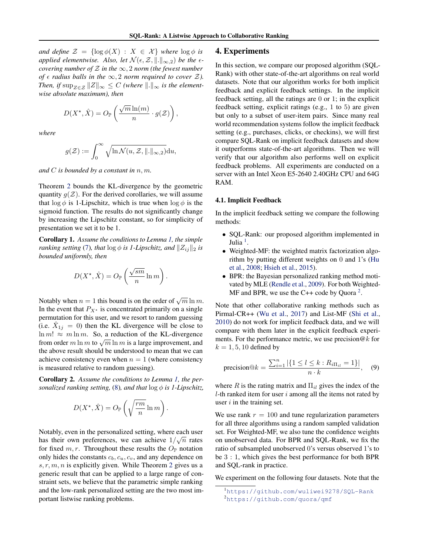*and define*  $\mathcal{Z} = \{\log \phi(X) : X \in \mathcal{X}\}\$  *where*  $\log \phi$  *is applied elementwise. Also, let*  $\mathcal{N}(\epsilon, \mathcal{Z}, \| \|_{\infty,2})$  *be the*  $\epsilon$ *covering number of*  $Z$  *in the*  $\infty$ , 2 *norm (the fewest number of*  $\epsilon$  *radius balls in the*  $\infty$ , 2 *norm required to cover*  $Z$ *). Then, if*  $\sup_{Z \in \mathcal{Z}} ||Z||_{\infty} \leq C$  *(where*  $||.||_{\infty}$  *is the elementwise absolute maximum), then*

$$
D(X^{\star}, \hat{X}) = O_{\mathbb{P}}\left(\frac{\sqrt{m}\ln(m)}{n} \cdot g(\mathcal{Z})\right),\,
$$

*where*

$$
g(\mathcal{Z}) := \int_0^\infty \sqrt{\ln \mathcal{N}(u, \mathcal{Z}, \|.\|_{\infty,2})} \mathrm{d}u,
$$

*and C is bounded by a constant in n, m.*

Theorem [2](#page-4-0) bounds the KL-divergence by the geometric quantity  $q(\mathcal{Z})$ . For the derived corollaries, we will assume that  $\log \phi$  is 1-Lipschitz, which is true when  $\log \phi$  is the sigmoid function. The results do not significantly change by increasing the Lipschitz constant, so for simplicity of presentation we set it to be 1.

Corollary 1. *Assume the conditions to Lemma [1,](#page-4-0) the simple ranking setting* [\(7\)](#page-4-0)*, that*  $\log \phi$  *is 1-Lipschitz, and*  $\|Z_{ij}\|_2$  *is bounded uniformly, then*

$$
D(X^*, \hat{X}) = O_{\mathbb{P}}\left(\frac{\sqrt{sm}}{n} \ln m\right).
$$

Notably when  $n = 1$  this bound is on the order of  $\sqrt{m} \ln m$ . In the event that  $P_{X^*}$  is concentrated primarily on a single permutation for this user, and we resort to random guessing (i.e.  $X_{1j} = 0$ ) then the KL divergence will be close to  $\ln m! \approx m \ln m$ . So, a reduction of the KL-divergence from order *m* ln *m* to  $\sqrt{m}$  ln *m* is a large improvement, and the above result should be understood to mean that we can achieve consistency even when  $n = 1$  (where consistency is measured relative to random guessing).

Corollary 2. *Assume the conditions to Lemma [1,](#page-4-0) the personalized ranking setting,* [\(8\)](#page-4-0), and that  $\log \phi$  is 1-Lipschitz,

$$
D(X^\star,\hat{X}) = O_\mathbb{P}\left(\sqrt{\frac{rm}{n}}\ln m\right).
$$

Notably, even in the personalized setting, where each user has their own preferences, we can achieve  $1/\sqrt{n}$  rates for fixed  $m, r$ . Throughout these results the  $O_{\mathbb{P}}$  notation only hides the constants *cb, cu, cv*, and any dependence on *s, r, m, n* is explicitly given. While Theorem [2](#page-4-0) gives us a generic result that can be applied to a large range of constraint sets, we believe that the parametric simple ranking and the low-rank personalized setting are the two most important listwise ranking problems.

## 4. Experiments

In this section, we compare our proposed algorithm (SQL-Rank) with other state-of-the-art algorithms on real world datasets. Note that our algorithm works for both implicit feedback and explicit feedback settings. In the implicit feedback setting, all the ratings are 0 or 1; in the explicit feedback setting, explicit ratings (e.g., 1 to 5) are given but only to a subset of user-item pairs. Since many real world recommendation systems follow the implicit feedback setting (e.g., purchases, clicks, or checkins), we will first compare SQL-Rank on implicit feedback datasets and show it outperforms state-of-the-art algorithms. Then we will verify that our algorithm also performs well on explicit feedback problems. All experiments are conducted on a server with an Intel Xeon E5-2640 2.40GHz CPU and 64G RAM.

### 4.1. Implicit Feedback

In the implicit feedback setting we compare the following methods:

- *•* SQL-Rank: our proposed algorithm implemented in Julia  $<sup>1</sup>$ .</sup>
- Weighted-MF: the weighted matrix factorization algorithm by putting different weights on 0 and 1's [\(Hu](#page-8-0) [et al.,](#page-8-0) [2008;](#page-8-0) [Hsieh et al.,](#page-8-0) [2015\)](#page-8-0).
- *•* BPR: the Bayesian personalized ranking method motivated by MLE [\(Rendle et al.,](#page-8-0) [2009\)](#page-8-0). For both Weighted-MF and BPR, we use the C++ code by Quora<sup>2</sup>.

Note that other collaborative ranking methods such as Pirmal-CR++ [\(Wu et al.,](#page-9-0) [2017\)](#page-9-0) and List-MF [\(Shi et al.,](#page-8-0) [2010\)](#page-8-0) do not work for implicit feedback data, and we will compare with them later in the explicit feedback experiments. For the performance metric, we use precision@*k* for  $k = 1, 5, 10$  defined by

precision@
$$
k = \frac{\sum_{i=1}^{n} |\{1 \le l \le k : R_{i\Pi_{il}} = 1\}|}{n \cdot k}
$$
, (9)

where  $R$  is the rating matrix and  $\Pi_{il}$  gives the index of the *l*-th ranked item for user *i* among all the items not rated by user *i* in the training set.

We use rank  $r = 100$  and tune regularization parameters for all three algorithms using a random sampled validation set. For Weighted-MF, we also tune the confidence weights on unobserved data. For BPR and SQL-Rank, we fix the ratio of subsampled unobserved 0's versus observed 1's to be 3:1, which gives the best performance for both BPR and SQL-rank in practice.

We experiment on the following four datasets. Note that the

<sup>1</sup> <https://github.com/wuliwei9278/SQL-Rank> 2 <https://github.com/quora/qmf>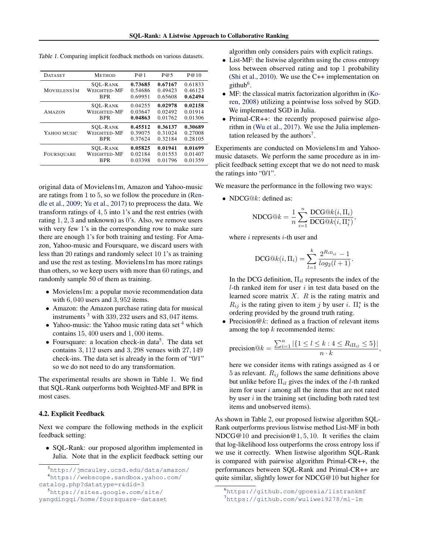|  |  |  | Table 1. Comparing implicit feedback methods on various datasets. |
|--|--|--|-------------------------------------------------------------------|
|  |  |  |                                                                   |

| <b>DATASET</b>      | <b>METHOD</b>   | P@1     | P@5     | P@10    |
|---------------------|-----------------|---------|---------|---------|
| <b>MOVIELENS 1M</b> | <b>SOL-RANK</b> | 0.73685 | 0.67167 | 0.61833 |
|                     | WEIGHTED-MF     | 0.54686 | 0.49423 | 0.46123 |
|                     | <b>BPR</b>      | 0.69951 | 0.65608 | 0.62494 |
| AMAZON              | <b>SOL-RANK</b> | 0.04255 | 0.02978 | 0.02158 |
|                     | WEIGHTED-MF     | 0.03647 | 0.02492 | 0.01914 |
|                     | <b>BPR</b>      | 0.04863 | 0.01762 | 0.01306 |
| YAHOO MUSIC         | <b>SOL-RANK</b> | 0.45512 | 0.36137 | 0.30689 |
|                     | WEIGHTED-MF     | 0.39075 | 0.31024 | 0.27008 |
|                     | <b>BPR</b>      | 0.37624 | 0.32184 | 0.28105 |
| FOURSQUARE          | <b>SOL-RANK</b> | 0.05825 | 0.01941 | 0.01699 |
|                     | WEIGHTED-MF     | 0.02184 | 0.01553 | 0.01407 |
|                     | <b>BPR</b>      | 0.03398 | 0.01796 | 0.01359 |

original data of Movielens1m, Amazon and Yahoo-music are ratings from 1 to 5, so we follow the procedure in [\(Ren](#page-8-0)[dle et al.,](#page-8-0) [2009;](#page-8-0) [Yu et al.,](#page-9-0) [2017\)](#page-9-0) to preprocess the data. We transform ratings of 4*,* 5 into 1's and the rest entries (with rating 1*,* 2*,* 3 and unknown) as 0's. Also, we remove users with very few 1's in the corresponding row to make sure there are enough 1's for both training and testing. For Amazon, Yahoo-music and Foursquare, we discard users with less than 20 ratings and randomly select 10 1's as training and use the rest as testing. Movielens1m has more ratings than others, so we keep users with more than 60 ratings, and randomly sample 50 of them as training.

- Movielens1m: a popular movie recommendation data with 6*,* 040 users and 3*,* 952 items.
- *•* Amazon: the Amazon purchase rating data for musical instruments <sup>3</sup> with 339*,* 232 users and 83*,* 047 items.
- Yahoo-music: the Yahoo music rating data set <sup>4</sup> which contains 15*,* 400 users and 1*,* 000 items.
- Foursquare: a location check-in data<sup>5</sup>. The data set contains 3*,* 112 users and 3*,* 298 venues with 27*,* 149 check-ins. The data set is already in the form of "0/1" so we do not need to do any transformation.

The experimental results are shown in Table 1. We find that SQL-Rank outperforms both Weighted-MF and BPR in most cases.

#### 4.2. Explicit Feedback

Next we compare the following methods in the explicit feedback setting:

*•* SQL-Rank: our proposed algorithm implemented in Julia. Note that in the explicit feedback setting our algorithm only considers pairs with explicit ratings.

- *•* List-MF: the listwise algorithm using the cross entropy loss between observed rating and top 1 probability [\(Shi et al.,](#page-8-0) [2010\)](#page-8-0). We use the C++ implementation on github $6$ .
- MF: the classical matrix factorization algorithm in [\(Ko](#page-8-0)[ren,](#page-8-0) [2008\)](#page-8-0) utilizing a pointwise loss solved by SGD. We implemented SGD in Julia.
- Primal-CR++: the recently proposed pairwise algorithm in [\(Wu et al.,](#page-9-0) [2017\)](#page-9-0). We use the Julia implementation released by the authors<sup>7</sup>.

Experiments are conducted on Movielens1m and Yahoomusic datasets. We perform the same procedure as in implicit feedback setting except that we do not need to mask the ratings into "0/1".

We measure the performance in the following two ways:

*•* NDCG@*k*: defined as:

$$
\text{NDCG}@k = \frac{1}{n} \sum_{i=1}^{n} \frac{\text{DCG}@k(i, \Pi_i)}{\text{DCG}@k(i, \Pi_i^*)},
$$

where *i* represents *i*-th user and

DCG@
$$
k(i, \Pi_i)
$$
 = 
$$
\sum_{l=1}^{k} \frac{2^{R_{i\Pi_{il}}}-1}{log_2(l+1)}
$$
.

In the DCG definition,  $\Pi_{il}$  represents the index of the *l*-th ranked item for user *i* in test data based on the learned score matrix *X*. *R* is the rating matrix and  $R_{ij}$  is the rating given to item *j* by user *i*.  $\Pi_i^*$  is the ordering provided by the ground truth rating.

*•* Precision@*k*: defined as a fraction of relevant items among the top *k* recommended items:

$$
\text{precision}@k = \frac{\sum_{i=1}^{n} |\{1 \leq l \leq k : 4 \leq R_{i\Pi_{il}} \leq 5\}|}{n \cdot k},
$$

here we consider items with ratings assigned as 4 or 5 as relevant.  $R_{ij}$  follows the same definitions above but unlike before  $\Pi_{il}$  gives the index of the *l*-th ranked item for user *i* among all the items that are not rated by user *i* in the training set (including both rated test items and unobserved items).

As shown in Table [2,](#page-7-0) our proposed listwise algorithm SQL-Rank outperforms previous listwise method List-MF in both NDCG@10 and precision@1*,* 5*,* 10. It verifies the claim that log-likelihood loss outperforms the cross entropy loss if we use it correctly. When listwise algorithm SQL-Rank is compared with pairwise algorithm Primal-CR++, the performances between SQL-Rank and Primal-CR++ are quite similar, slightly lower for NDCG@10 but higher for

<sup>3</sup> <http://jmcauley.ucsd.edu/data/amazon/> 4 [https://webscope.sandbox.yahoo.com/](https://webscope.sandbox.yahoo.com/catalog.php?datatype=r&did=3) [catalog.php?datatype=r&did=3](https://webscope.sandbox.yahoo.com/catalog.php?datatype=r&did=3)

<sup>5</sup> [https://sites.google.com/site/](https://sites.google.com/site/yangdingqi/home/foursquare-dataset) [yangdingqi/home/foursquare-dataset](https://sites.google.com/site/yangdingqi/home/foursquare-dataset)

<sup>6</sup> <https://github.com/gpoesia/listrankmf> 7 <https://github.com/wuliwei9278/ml-1m>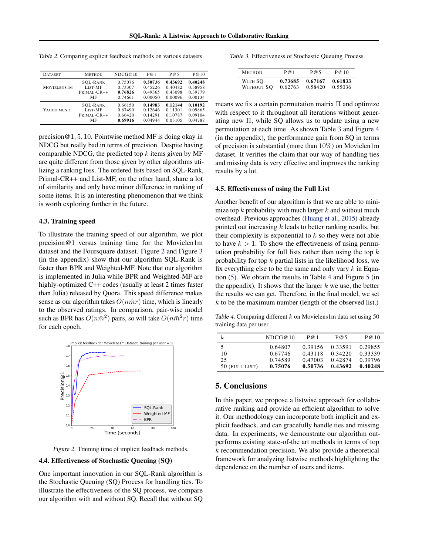| <b>METHOD</b>                               | NDCG@10                       | P@1                           | P@5                           | P@10                                     |
|---------------------------------------------|-------------------------------|-------------------------------|-------------------------------|------------------------------------------|
| <b>SOL-RANK</b><br>LIST-MF<br>$PRIMAL-CR++$ | 0.75076<br>0.73307<br>0.76826 | 0.50736<br>0.45226<br>0.49365 | 0.43692<br>0.40482<br>0.43098 | 0.40248<br>0.38958<br>0.39779            |
| MF                                          | 0.74661                       | 0.00050                       | 0.00096                       | 0.00134                                  |
| <b>SOL-RANK</b><br>LIST-MF<br>PRIMAL-CR++   | 0.66150<br>0.67490<br>0.66420 | 0.14983<br>0.12646<br>0.14291 | 0.12144<br>0.11301<br>0.10787 | 0.10192<br>0.09865<br>0.09104<br>0.04787 |
|                                             | MF                            | 0.69916                       | 0.04944                       | 0.03105                                  |

<span id="page-7-0"></span>*Table 2.* Comparing explicit feedback methods on various datasets.

precision@1*,* 5*,* 10. Pointwise method MF is doing okay in NDCG but really bad in terms of precision. Despite having comparable NDCG, the predicted top *k* items given by MF are quite different from those given by other algorithms utilizing a ranking loss. The ordered lists based on SQL-Rank, Primal-CR++ and List-MF, on the other hand, share a lot of similarity and only have minor difference in ranking of some items. It is an interesting phenomenon that we think is worth exploring further in the future.

#### 4.3. Training speed

To illustrate the training speed of our algorithm, we plot precision@1 versus training time for the Movielen1m dataset and the Foursquare dataset. Figure 2 and Figure [3](#page-0-0) (in the appendix) show that our algorithm SQL-Rank is faster than BPR and Weighted-MF. Note that our algorithm is implemented in Julia while BPR and Weighted-MF are highly-optimized C++ codes (usually at least 2 times faster than Julia) released by Quora. This speed difference makes sense as our algorithm takes  $O(n\bar{m}r)$  time, which is linearly to the observed ratings. In comparison, pair-wise model such as BPR has  $O(n\bar{m}^2)$  pairs, so will take  $O(n\bar{m}^2r)$  time for each epoch.



*Figure 2.* Training time of implicit feedback methods.

# 4.4. Effectiveness of Stochastic Queuing (SQ)

One important innovation in our SQL-Rank algorithm is the Stochastic Queuing (SQ) Process for handling ties. To illustrate the effectiveness of the SQ process, we compare our algorithm with and without SQ. Recall that without SQ

*Table 3.* Effectiveness of Stochastic Queuing Process.

| <b>METHOD</b> | P@1     | P@5     | P@10    |
|---------------|---------|---------|---------|
| WITH SO       | 0.73685 | 0.67167 | 0.61833 |
| WITHOUT SO    | 0.62763 | 0.58420 | 0.55036 |

means we fix a certain permutation matrix  $\Pi$  and optimize with respect to it throughout all iterations without generating new  $\Pi$ , while SQ allows us to update using a new permutation at each time. As shown Table 3 and Figure [4](#page-0-0) (in the appendix), the performance gain from SQ in terms of precision is substantial (more than  $10\%$ ) on Movielen1m dataset. It verifies the claim that our way of handling ties and missing data is very effective and improves the ranking results by a lot.

# 4.5. Effectiveness of using the Full List

Another benefit of our algorithm is that we are able to minimize top *k* probability with much larger *k* and without much overhead. Previous approaches [\(Huang et al.,](#page-8-0) [2015\)](#page-8-0) already pointed out increasing *k* leads to better ranking results, but their complexity is exponential to *k* so they were not able to have  $k > 1$ . To show the effectiveness of using permutation probability for full lists rather than using the top *k* probability for top *k* partial lists in the likelihood loss, we fix everything else to be the same and only vary *k* in Equation [\(5\)](#page-3-0). We obtain the results in Table 4 and Figure [5](#page-0-0) (in the appendix). It shows that the larger *k* we use, the better the results we can get. Therefore, in the final model, we set *k* to be the maximum number (length of the observed list.)

*Table 4.* Comparing different *k* on Movielens1m data set using 50 training data per user.

| k.             | NDCG@10 | P@1     | P@5     | P@10    |
|----------------|---------|---------|---------|---------|
| 5              | 0.64807 | 0.39156 | 0.33591 | 0.29855 |
| 10             | 0.67746 | 0.43118 | 0.34220 | 0.33339 |
| 25             | 0.74589 | 0.47003 | 0.42874 | 0.39796 |
| 50 (FULL LIST) | 0.75076 | 0.50736 | 0.43692 | 0.40248 |

# 5. Conclusions

In this paper, we propose a listwise approach for collaborative ranking and provide an efficient algorithm to solve it. Our methodology can incorporate both implicit and explicit feedback, and can gracefully handle ties and missing data. In experiments, we demonstrate our algorithm outperforms existing state-of-the art methods in terms of top *k* recommendation precision. We also provide a theoretical framework for analyzing listwise methods highlighting the dependence on the number of users and items.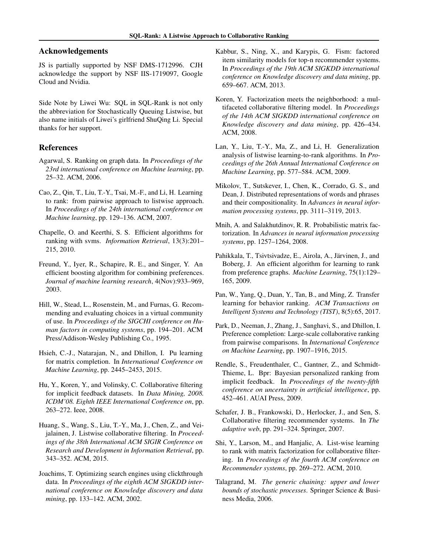# <span id="page-8-0"></span>Acknowledgements

JS is partially supported by NSF DMS-1712996. CJH acknowledge the support by NSF IIS-1719097, Google Cloud and Nvidia.

Side Note by Liwei Wu: SQL in SQL-Rank is not only the abbreviation for Stochastically Queuing Listwise, but also name initials of Liwei's girlfriend ShuQing Li. Special thanks for her support.

# References

- Agarwal, S. Ranking on graph data. In *Proceedings of the 23rd international conference on Machine learning*, pp. 25–32. ACM, 2006.
- Cao, Z., Qin, T., Liu, T.-Y., Tsai, M.-F., and Li, H. Learning to rank: from pairwise approach to listwise approach. In *Proceedings of the 24th international conference on Machine learning*, pp. 129–136. ACM, 2007.
- Chapelle, O. and Keerthi, S. S. Efficient algorithms for ranking with svms. *Information Retrieval*, 13(3):201– 215, 2010.
- Freund, Y., Iyer, R., Schapire, R. E., and Singer, Y. An efficient boosting algorithm for combining preferences. *Journal of machine learning research*, 4(Nov):933–969, 2003.
- Hill, W., Stead, L., Rosenstein, M., and Furnas, G. Recommending and evaluating choices in a virtual community of use. In *Proceedings of the SIGCHI conference on Human factors in computing systems*, pp. 194–201. ACM Press/Addison-Wesley Publishing Co., 1995.
- Hsieh, C.-J., Natarajan, N., and Dhillon, I. Pu learning for matrix completion. In *International Conference on Machine Learning*, pp. 2445–2453, 2015.
- Hu, Y., Koren, Y., and Volinsky, C. Collaborative filtering for implicit feedback datasets. In *Data Mining, 2008. ICDM'08. Eighth IEEE International Conference on*, pp. 263–272. Ieee, 2008.
- Huang, S., Wang, S., Liu, T.-Y., Ma, J., Chen, Z., and Veijalainen, J. Listwise collaborative filtering. In *Proceedings of the 38th International ACM SIGIR Conference on Research and Development in Information Retrieval*, pp. 343–352. ACM, 2015.
- Joachims, T. Optimizing search engines using clickthrough data. In *Proceedings of the eighth ACM SIGKDD international conference on Knowledge discovery and data mining*, pp. 133–142. ACM, 2002.
- Kabbur, S., Ning, X., and Karypis, G. Fism: factored item similarity models for top-n recommender systems. In *Proceedings of the 19th ACM SIGKDD international conference on Knowledge discovery and data mining*, pp. 659–667. ACM, 2013.
- Koren, Y. Factorization meets the neighborhood: a multifaceted collaborative filtering model. In *Proceedings of the 14th ACM SIGKDD international conference on Knowledge discovery and data mining*, pp. 426–434. ACM, 2008.
- Lan, Y., Liu, T.-Y., Ma, Z., and Li, H. Generalization analysis of listwise learning-to-rank algorithms. In *Proceedings of the 26th Annual International Conference on Machine Learning*, pp. 577–584. ACM, 2009.
- Mikolov, T., Sutskever, I., Chen, K., Corrado, G. S., and Dean, J. Distributed representations of words and phrases and their compositionality. In *Advances in neural information processing systems*, pp. 3111–3119, 2013.
- Mnih, A. and Salakhutdinov, R. R. Probabilistic matrix factorization. In *Advances in neural information processing systems*, pp. 1257–1264, 2008.
- Pahikkala, T., Tsivtsivadze, E., Airola, A., Järvinen, J., and Boberg, J. An efficient algorithm for learning to rank from preference graphs. *Machine Learning*, 75(1):129– 165, 2009.
- Pan, W., Yang, Q., Duan, Y., Tan, B., and Ming, Z. Transfer learning for behavior ranking. *ACM Transactions on Intelligent Systems and Technology (TIST)*, 8(5):65, 2017.
- Park, D., Neeman, J., Zhang, J., Sanghavi, S., and Dhillon, I. Preference completion: Large-scale collaborative ranking from pairwise comparisons. In *International Conference on Machine Learning*, pp. 1907–1916, 2015.
- Rendle, S., Freudenthaler, C., Gantner, Z., and Schmidt-Thieme, L. Bpr: Bayesian personalized ranking from implicit feedback. In *Proceedings of the twenty-fifth conference on uncertainty in artificial intelligence*, pp. 452–461. AUAI Press, 2009.
- Schafer, J. B., Frankowski, D., Herlocker, J., and Sen, S. Collaborative filtering recommender systems. In *The adaptive web*, pp. 291–324. Springer, 2007.
- Shi, Y., Larson, M., and Hanjalic, A. List-wise learning to rank with matrix factorization for collaborative filtering. In *Proceedings of the fourth ACM conference on Recommender systems*, pp. 269–272. ACM, 2010.
- Talagrand, M. *The generic chaining: upper and lower bounds of stochastic processes*. Springer Science & Business Media, 2006.